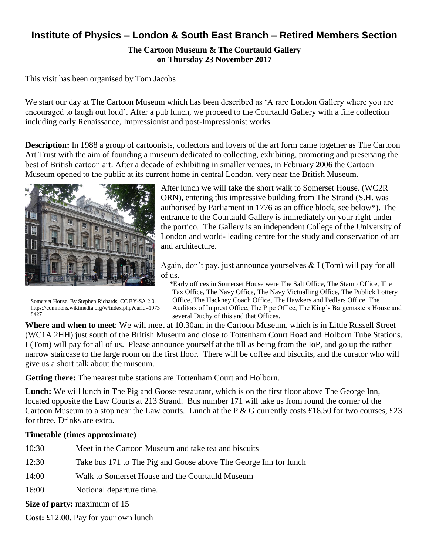## **Institute of Physics – London & South East Branch – Retired Members Section**

**The Cartoon Museum & The Courtauld Gallery on Thursday 23 November 2017**

This visit has been organised by Tom Jacobs

We start our day at The Cartoon Museum which has been described as 'A rare London Gallery where you are encouraged to laugh out loud'. After a pub lunch, we proceed to the Courtauld Gallery with a fine collection including early Renaissance, Impressionist and post-Impressionist works.

**Description:** In 1988 a group of cartoonists, collectors and lovers of the art form came together as The Cartoon Art Trust with the aim of founding a museum dedicated to collecting, exhibiting, promoting and preserving the best of British cartoon art. After a decade of exhibiting in smaller venues, in February 2006 the Cartoon Museum opened to the public at its current home in central London, very near the British Museum.



Somerset House. By Stephen Richards, CC BY-SA 2.0, https://commons.wikimedia.org/w/index.php?curid=1973 8427

After lunch we will take the short walk to Somerset House. (WC2R ORN), entering this impressive building from The Strand (S.H. was authorised by Parliament in 1776 as an office block, see below\*). The entrance to the Courtauld Gallery is immediately on your right under the portico. The Gallery is an independent College of the University of London and world- leading centre for the study and conservation of art and architecture.

Again, don't pay, just announce yourselves  $& 1$  (Tom) will pay for all of us.

 \*Early offices in Somerset House were The Salt Office, The Stamp Office, The Tax Office, The Navy Office, The Navy Victualling Office, The Publick Lottery Office, The Hackney Coach Office, The Hawkers and Pedlars Office, The Auditors of Imprest Office, The Pipe Office, The King's Bargemasters House and several Duchy of this and that Offices.

**Where and when to meet**: We will meet at 10.30am in the Cartoon Museum, which is in Little Russell Street (WC1A 2HH) just south of the British Museum and close to Tottenham Court Road and Holborn Tube Stations. I (Tom) will pay for all of us. Please announce yourself at the till as being from the IoP, and go up the rather narrow staircase to the large room on the first floor. There will be coffee and biscuits, and the curator who will give us a short talk about the museum.

**Getting there:** The nearest tube stations are Tottenham Court and Holborn.

Lunch: We will lunch in The Pig and Goose restaurant, which is on the first floor above The George Inn, located opposite the Law Courts at 213 Strand. Bus number 171 will take us from round the corner of the Cartoon Museum to a stop near the Law courts. Lunch at the P & G currently costs £18.50 for two courses, £23 for three. Drinks are extra.

## **Timetable (times approximate)**

- 10:30 Meet in the Cartoon Museum and take tea and biscuits
- 12:30 Take bus 171 to The Pig and Goose above The George Inn for lunch
- 14:00 Walk to Somerset House and the Courtauld Museum
- 16:00 Notional departure time.

**Size of party:** maximum of 15

**Cost:** £12.00. Pay for your own lunch